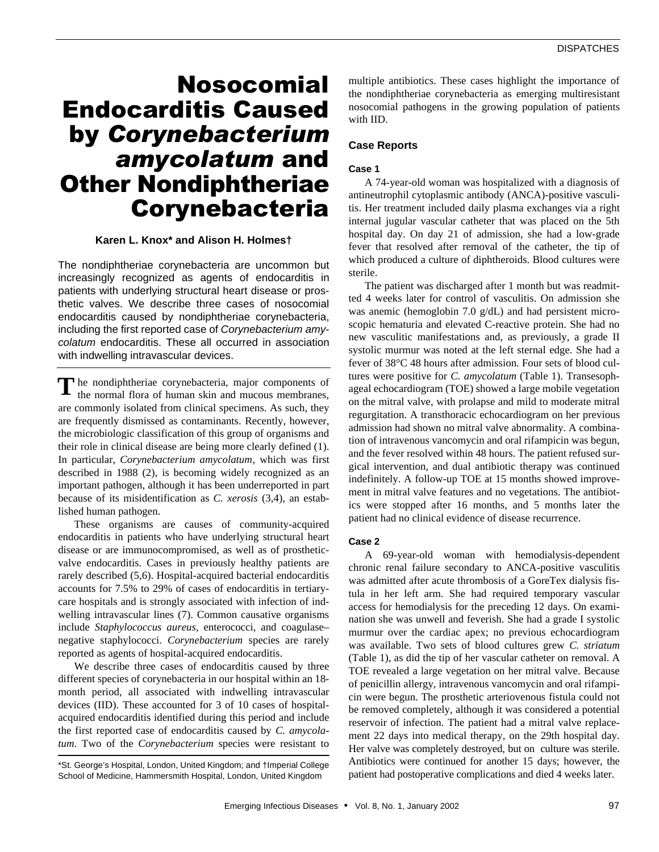# Nosocomial Endocarditis Caused by *Corynebacterium amycolatum* and Other Nondiphtheriae Corynebacteria

## **Karen L. Knox\* and Alison H. Holmes†**

The nondiphtheriae corynebacteria are uncommon but increasingly recognized as agents of endocarditis in patients with underlying structural heart disease or prosthetic valves. We describe three cases of nosocomial endocarditis caused by nondiphtheriae corynebacteria, including the first reported case of *Corynebacterium amycolatum* endocarditis. These all occurred in association with indwelling intravascular devices.

The nondiphtheriae corynebacteria, major components of the normal flora of human skin and mucous membranes, the normal flora of human skin and mucous membranes, are commonly isolated from clinical specimens. As such, they are frequently dismissed as contaminants. Recently, however, the microbiologic classification of this group of organisms and their role in clinical disease are being more clearly defined (1). In particular, *Corynebacterium amycolatum*, which was first described in 1988 (2), is becoming widely recognized as an important pathogen, although it has been underreported in part because of its misidentification as *C. xerosis* (3,4), an established human pathogen.

These organisms are causes of community-acquired endocarditis in patients who have underlying structural heart disease or are immunocompromised, as well as of prostheticvalve endocarditis. Cases in previously healthy patients are rarely described (5,6). Hospital-acquired bacterial endocarditis accounts for 7.5% to 29% of cases of endocarditis in tertiarycare hospitals and is strongly associated with infection of indwelling intravascular lines (7). Common causative organisms include *Staphylococcus aureus*, enterococci, and coagulase– negative staphylococci. *Corynebacterium* species are rarely reported as agents of hospital-acquired endocarditis.

We describe three cases of endocarditis caused by three different species of corynebacteria in our hospital within an 18 month period, all associated with indwelling intravascular devices (IID). These accounted for 3 of 10 cases of hospitalacquired endocarditis identified during this period and include the first reported case of endocarditis caused by *C. amycolatum*. Two of the *Corynebacterium* species were resistant to

multiple antibiotics. These cases highlight the importance of the nondiphtheriae corynebacteria as emerging multiresistant nosocomial pathogens in the growing population of patients with IID.

# **Case Reports**

## **Case 1**

A 74-year-old woman was hospitalized with a diagnosis of antineutrophil cytoplasmic antibody (ANCA)-positive vasculitis. Her treatment included daily plasma exchanges via a right internal jugular vascular catheter that was placed on the 5th hospital day. On day 21 of admission, she had a low-grade fever that resolved after removal of the catheter, the tip of which produced a culture of diphtheroids. Blood cultures were sterile.

The patient was discharged after 1 month but was readmitted 4 weeks later for control of vasculitis. On admission she was anemic (hemoglobin 7.0 g/dL) and had persistent microscopic hematuria and elevated C-reactive protein. She had no new vasculitic manifestations and, as previously, a grade II systolic murmur was noted at the left sternal edge. She had a fever of 38°C 48 hours after admission. Four sets of blood cultures were positive for *C. amycolatum* (Table 1). Transesophageal echocardiogram (TOE) showed a large mobile vegetation on the mitral valve, with prolapse and mild to moderate mitral regurgitation. A transthoracic echocardiogram on her previous admission had shown no mitral valve abnormality. A combination of intravenous vancomycin and oral rifampicin was begun, and the fever resolved within 48 hours. The patient refused surgical intervention, and dual antibiotic therapy was continued indefinitely. A follow-up TOE at 15 months showed improvement in mitral valve features and no vegetations. The antibiotics were stopped after 16 months, and 5 months later the patient had no clinical evidence of disease recurrence.

## **Case 2**

A 69-year-old woman with hemodialysis-dependent chronic renal failure secondary to ANCA-positive vasculitis was admitted after acute thrombosis of a GoreTex dialysis fistula in her left arm. She had required temporary vascular access for hemodialysis for the preceding 12 days. On examination she was unwell and feverish. She had a grade I systolic murmur over the cardiac apex; no previous echocardiogram was available. Two sets of blood cultures grew *C. striatum* (Table 1), as did the tip of her vascular catheter on removal. A TOE revealed a large vegetation on her mitral valve. Because of penicillin allergy, intravenous vancomycin and oral rifampicin were begun. The prosthetic arteriovenous fistula could not be removed completely, although it was considered a potential reservoir of infection. The patient had a mitral valve replacement 22 days into medical therapy, on the 29th hospital day. Her valve was completely destroyed, but on culture was sterile. Antibiotics were continued for another 15 days; however, the patient had postoperative complications and died 4 weeks later.

<sup>\*</sup>St. George's Hospital, London, United Kingdom; and †Imperial College School of Medicine, Hammersmith Hospital, London, United Kingdom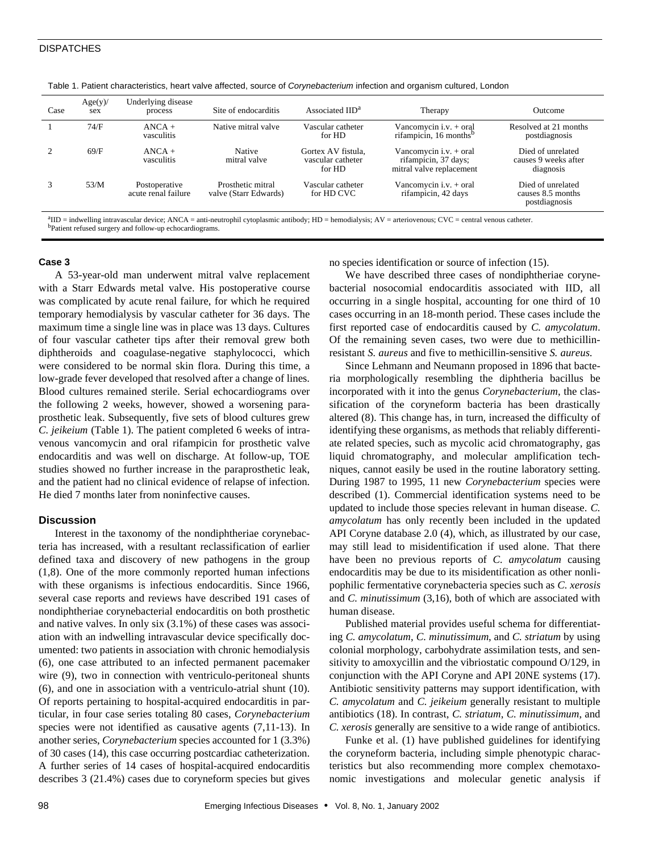## **DISPATCHES**

| Case | Age(y)<br>sex | Underlying disease<br>process        | Site of endocarditis                       | Associated IID <sup>a</sup>                       | Therapy                                                                      | Outcome                                                 |
|------|---------------|--------------------------------------|--------------------------------------------|---------------------------------------------------|------------------------------------------------------------------------------|---------------------------------------------------------|
|      | 74/F          | $ANCA +$<br>vasculitis               | Native mitral valve                        | Vascular catheter<br>for HD                       | Vancomycin i.v. $+$ oral<br>rifampicin, 16 months <sup>b</sup>               | Resolved at 21 months<br>postdiagnosis                  |
|      | 69/F          | $ANCA +$<br>vasculitis               | Native<br>mitral valve                     | Gortex AV fistula.<br>vascular catheter<br>for HD | Vancomycin i.v. $+$ oral<br>rifampicin, 37 days;<br>mitral valve replacement | Died of unrelated<br>causes 9 weeks after<br>diagnosis  |
|      | 53/M          | Postoperative<br>acute renal failure | Prosthetic mitral<br>valve (Starr Edwards) | Vascular catheter<br>for HD CVC                   | Vancomycin i.v. $+$ oral<br>rifampicin, 42 days                              | Died of unrelated<br>causes 8.5 months<br>postdiagnosis |

Table 1. Patient characteristics, heart valve affected, source of *Corynebacterium* infection and organism cultured, London

a IID = indwelling intravascular device; ANCA = anti-neutrophil cytoplasmic antibody; HD = hemodialysis; AV = arteriovenous; CVC = central venous catheter. <sup>b</sup>Patient refused surgery and follow-up echocardiograms.

### **Case 3**

A 53-year-old man underwent mitral valve replacement with a Starr Edwards metal valve. His postoperative course was complicated by acute renal failure, for which he required temporary hemodialysis by vascular catheter for 36 days. The maximum time a single line was in place was 13 days. Cultures of four vascular catheter tips after their removal grew both diphtheroids and coagulase-negative staphylococci, which were considered to be normal skin flora. During this time, a low-grade fever developed that resolved after a change of lines. Blood cultures remained sterile. Serial echocardiograms over the following 2 weeks, however, showed a worsening paraprosthetic leak. Subsequently, five sets of blood cultures grew *C. jeikeium* (Table 1). The patient completed 6 weeks of intravenous vancomycin and oral rifampicin for prosthetic valve endocarditis and was well on discharge. At follow-up, TOE studies showed no further increase in the paraprosthetic leak, and the patient had no clinical evidence of relapse of infection. He died 7 months later from noninfective causes.

## **Discussion**

Interest in the taxonomy of the nondiphtheriae corynebacteria has increased, with a resultant reclassification of earlier defined taxa and discovery of new pathogens in the group (1,8). One of the more commonly reported human infections with these organisms is infectious endocarditis. Since 1966, several case reports and reviews have described 191 cases of nondiphtheriae corynebacterial endocarditis on both prosthetic and native valves. In only six (3.1%) of these cases was association with an indwelling intravascular device specifically documented: two patients in association with chronic hemodialysis (6), one case attributed to an infected permanent pacemaker wire (9), two in connection with ventriculo-peritoneal shunts (6), and one in association with a ventriculo-atrial shunt (10). Of reports pertaining to hospital-acquired endocarditis in particular, in four case series totaling 80 cases, *Corynebacterium* species were not identified as causative agents (7,11-13). In another series, *Corynebacterium* species accounted for 1 (3.3%) of 30 cases (14), this case occurring postcardiac catheterization. A further series of 14 cases of hospital-acquired endocarditis describes 3 (21.4%) cases due to coryneform species but gives no species identification or source of infection (15).

We have described three cases of nondiphtheriae corynebacterial nosocomial endocarditis associated with IID, all occurring in a single hospital, accounting for one third of 10 cases occurring in an 18-month period. These cases include the first reported case of endocarditis caused by *C. amycolatum*. Of the remaining seven cases, two were due to methicillinresistant *S. aureus* and five to methicillin-sensitive *S. aureus*.

Since Lehmann and Neumann proposed in 1896 that bacteria morphologically resembling the diphtheria bacillus be incorporated with it into the genus *Corynebacterium*, the classification of the coryneform bacteria has been drastically altered (8). This change has, in turn, increased the difficulty of identifying these organisms, as methods that reliably differentiate related species, such as mycolic acid chromatography, gas liquid chromatography, and molecular amplification techniques, cannot easily be used in the routine laboratory setting. During 1987 to 1995, 11 new *Corynebacterium* species were described (1). Commercial identification systems need to be updated to include those species relevant in human disease. *C. amycolatum* has only recently been included in the updated API Coryne database 2.0 (4), which, as illustrated by our case, may still lead to misidentification if used alone. That there have been no previous reports of *C. amycolatum* causing endocarditis may be due to its misidentification as other nonlipophilic fermentative corynebacteria species such as *C. xerosis* and *C. minutissimum* (3,16), both of which are associated with human disease.

Published material provides useful schema for differentiating *C. amycolatum*, *C. minutissimum*, and *C. striatum* by using colonial morphology, carbohydrate assimilation tests, and sensitivity to amoxycillin and the vibriostatic compound O/129, in conjunction with the API Coryne and API 20NE systems (17). Antibiotic sensitivity patterns may support identification, with *C. amycolatum* and *C. jeikeium* generally resistant to multiple antibiotics (18). In contrast, *C. striatum*, *C. minutissimum*, and *C. xerosis* generally are sensitive to a wide range of antibiotics.

Funke et al. (1) have published guidelines for identifying the coryneform bacteria, including simple phenotypic characteristics but also recommending more complex chemotaxonomic investigations and molecular genetic analysis if